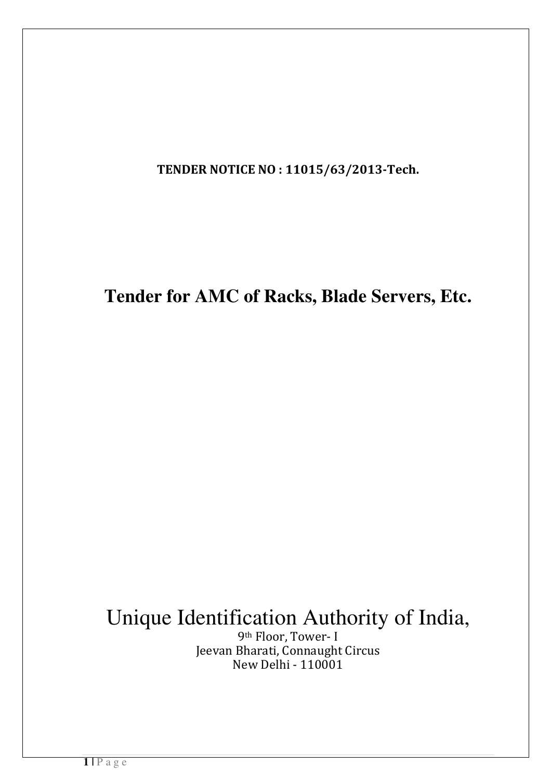TENDER NOTICE NO : 11015/63/2013-Tech.

**Tender for AMC of Racks, Blade Servers, Etc.**

# Unique Identification Authority of India,

9th Floor, Tower- I Jeevan Bharati, Connaught Circus New Delhi - 110001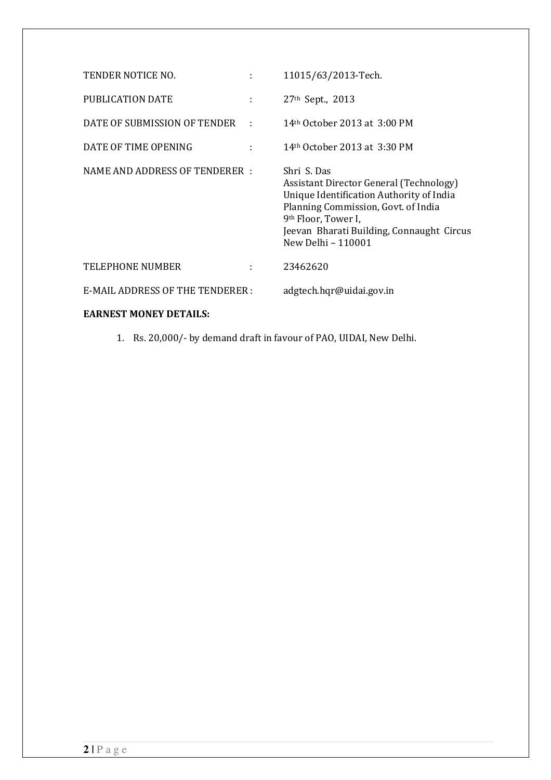| TENDER NOTICE NO.                      | ÷   | 11015/63/2013-Tech.                                                                                                                                                                                                                             |
|----------------------------------------|-----|-------------------------------------------------------------------------------------------------------------------------------------------------------------------------------------------------------------------------------------------------|
| PUBLICATION DATE                       | ÷   | 27 <sup>th</sup> Sept., 2013                                                                                                                                                                                                                    |
| DATE OF SUBMISSION OF TENDER           | - 1 | 14 <sup>th</sup> October 2013 at 3:00 PM                                                                                                                                                                                                        |
| DATE OF TIME OPENING                   |     | 14th October 2013 at 3:30 PM                                                                                                                                                                                                                    |
| NAME AND ADDRESS OF TENDERER :         |     | Shri S. Das<br>Assistant Director General (Technology)<br>Unique Identification Authority of India<br>Planning Commission, Govt. of India<br>9 <sup>th</sup> Floor, Tower I,<br>Jeevan Bharati Building, Connaught Circus<br>New Delhi - 110001 |
| <b>TELEPHONE NUMBER</b>                | ÷   | 23462620                                                                                                                                                                                                                                        |
| <b>E-MAIL ADDRESS OF THE TENDERER:</b> |     | adgtech.hqr@uidai.gov.in                                                                                                                                                                                                                        |
| <b>EARNEST MONEY DETAILS:</b>          |     |                                                                                                                                                                                                                                                 |

1. Rs. 20,000/- by demand draft in favour of PAO, UIDAI, New Delhi.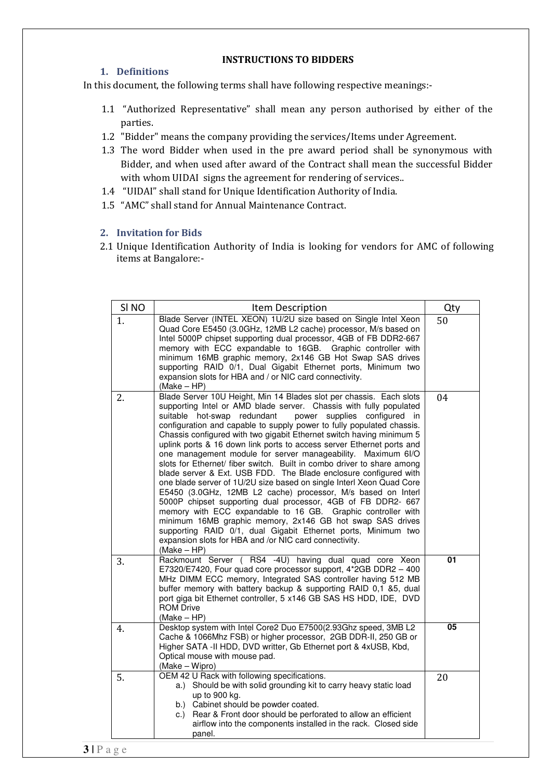### INSTRUCTIONS TO BIDDERS

## 1. Definitions

In this document, the following terms shall have following respective meanings:-

- 1.1 "Authorized Representative" shall mean any person authorised by either of the parties.
- 1.2 "Bidder" means the company providing the services/Items under Agreement.
- 1.3 The word Bidder when used in the pre award period shall be synonymous with Bidder, and when used after award of the Contract shall mean the successful Bidder with whom UIDAI signs the agreement for rendering of services..
- 1.4 "UIDAI" shall stand for Unique Identification Authority of India.
- 1.5 "AMC" shall stand for Annual Maintenance Contract.

## 2. Invitation for Bids

2.1 Unique Identification Authority of India is looking for vendors for AMC of following items at Bangalore:-

| SI <sub>NO</sub> | Item Description                                                                                                                                                                                                                                                                                                                                                                                                                                                                                                                                                                                                                                                                                                                                                                                                                                                                                                                                                                                                                                                                                                                   | Qty |
|------------------|------------------------------------------------------------------------------------------------------------------------------------------------------------------------------------------------------------------------------------------------------------------------------------------------------------------------------------------------------------------------------------------------------------------------------------------------------------------------------------------------------------------------------------------------------------------------------------------------------------------------------------------------------------------------------------------------------------------------------------------------------------------------------------------------------------------------------------------------------------------------------------------------------------------------------------------------------------------------------------------------------------------------------------------------------------------------------------------------------------------------------------|-----|
| 1.               | Blade Server (INTEL XEON) 1U/2U size based on Single Intel Xeon<br>Quad Core E5450 (3.0GHz, 12MB L2 cache) processor, M/s based on<br>Intel 5000P chipset supporting dual processor, 4GB of FB DDR2-667<br>memory with ECC expandable to 16GB. Graphic controller with<br>minimum 16MB graphic memory, 2x146 GB Hot Swap SAS drives<br>supporting RAID 0/1, Dual Gigabit Ethernet ports, Minimum two<br>expansion slots for HBA and / or NIC card connectivity.<br>$(Make - HP)$                                                                                                                                                                                                                                                                                                                                                                                                                                                                                                                                                                                                                                                   | 50  |
| 2.               | Blade Server 10U Height, Min 14 Blades slot per chassis. Each slots<br>supporting Intel or AMD blade server. Chassis with fully populated<br>suitable hot-swap redundant<br>power<br>supplies configured in<br>configuration and capable to supply power to fully populated chassis.<br>Chassis configured with two gigabit Ethernet switch having minimum 5<br>uplink ports & 16 down link ports to access server Ethernet ports and<br>one management module for server manageability. Maximum 6I/O<br>slots for Ethernet/ fiber switch. Built in combo driver to share among<br>blade server & Ext. USB FDD. The Blade enclosure configured with<br>one blade server of 1U/2U size based on single Interl Xeon Quad Core<br>E5450 (3.0GHz, 12MB L2 cache) processor, M/s based on Interl<br>5000P chipset supporting dual processor, 4GB of FB DDR2- 667<br>memory with ECC expandable to 16 GB. Graphic controller with<br>minimum 16MB graphic memory, 2x146 GB hot swap SAS drives<br>supporting RAID 0/1, dual Gigabit Ethernet ports, Minimum two<br>expansion slots for HBA and /or NIC card connectivity.<br>(Make – HP) | 04  |
| 3.               | Rackmount Server ( RS4 -4U) having dual quad core Xeon<br>E7320/E7420, Four quad core processor support, 4*2GB DDR2 - 400<br>MHz DIMM ECC memory, Integrated SAS controller having 512 MB<br>buffer memory with battery backup & supporting RAID 0,1 &5, dual<br>port giga bit Ethernet controller, 5 x146 GB SAS HS HDD, IDE, DVD<br><b>ROM Drive</b><br>$(Make - HP)$                                                                                                                                                                                                                                                                                                                                                                                                                                                                                                                                                                                                                                                                                                                                                            | 01  |
| 4.               | Desktop system with Intel Core2 Duo E7500(2.93Ghz speed, 3MB L2<br>Cache & 1066Mhz FSB) or higher processor, 2GB DDR-II, 250 GB or<br>Higher SATA -II HDD, DVD writter, Gb Ethernet port & 4xUSB, Kbd,<br>Optical mouse with mouse pad.<br>(Make - Wipro)                                                                                                                                                                                                                                                                                                                                                                                                                                                                                                                                                                                                                                                                                                                                                                                                                                                                          | 05  |
| 5.               | OEM 42 U Rack with following specifications.<br>a.) Should be with solid grounding kit to carry heavy static load<br>up to 900 kg.<br>b.) Cabinet should be powder coated.<br>c.) Rear & Front door should be perforated to allow an efficient<br>airflow into the components installed in the rack. Closed side<br>panel.                                                                                                                                                                                                                                                                                                                                                                                                                                                                                                                                                                                                                                                                                                                                                                                                         | 20  |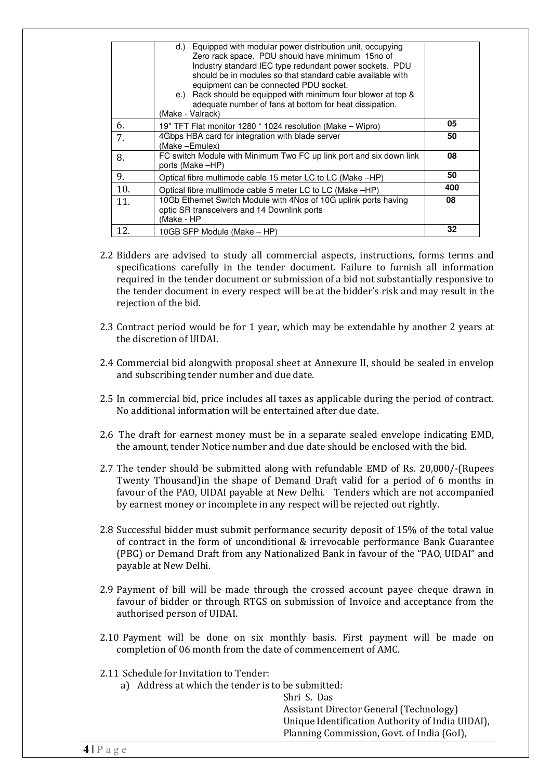|     | Equipped with modular power distribution unit, occupying<br>d.)<br>Zero rack space. PDU should have minimum 15no of<br>Industry standard IEC type redundant power sockets. PDU<br>should be in modules so that standard cable available with<br>equipment can be connected PDU socket.<br>e.) Rack should be equipped with minimum four blower at top &<br>adequate number of fans at bottom for heat dissipation.<br>(Make - Valrack) |     |
|-----|----------------------------------------------------------------------------------------------------------------------------------------------------------------------------------------------------------------------------------------------------------------------------------------------------------------------------------------------------------------------------------------------------------------------------------------|-----|
| 6.  | 19" TFT Flat monitor 1280 * 1024 resolution (Make – Wipro)                                                                                                                                                                                                                                                                                                                                                                             | 05  |
| 7.  | 4Gbps HBA card for integration with blade server<br>(Make –Emulex)                                                                                                                                                                                                                                                                                                                                                                     | 50  |
| 8.  | FC switch Module with Minimum Two FC up link port and six down link<br>ports (Make -HP)                                                                                                                                                                                                                                                                                                                                                | 08  |
| 9.  | Optical fibre multimode cable 15 meter LC to LC (Make -HP)                                                                                                                                                                                                                                                                                                                                                                             | 50  |
| 10. | Optical fibre multimode cable 5 meter LC to LC (Make -HP)                                                                                                                                                                                                                                                                                                                                                                              | 400 |
| 11. | 10Gb Ethernet Switch Module with 4Nos of 10G uplink ports having<br>optic SR transceivers and 14 Downlink ports<br>(Make - HP                                                                                                                                                                                                                                                                                                          | 08  |
| 12. | 10GB SFP Module (Make – HP)                                                                                                                                                                                                                                                                                                                                                                                                            | 32  |

- 2.2 Bidders are advised to study all commercial aspects, instructions, forms terms and specifications carefully in the tender document. Failure to furnish all information required in the tender document or submission of a bid not substantially responsive to the tender document in every respect will be at the bidder's risk and may result in the rejection of the bid.
- 2.3 Contract period would be for 1 year, which may be extendable by another 2 years at the discretion of UIDAI.
- 2.4 Commercial bid alongwith proposal sheet at Annexure II, should be sealed in envelop and subscribing tender number and due date.
- 2.5 In commercial bid, price includes all taxes as applicable during the period of contract. No additional information will be entertained after due date.
- 2.6 The draft for earnest money must be in a separate sealed envelope indicating EMD, the amount, tender Notice number and due date should be enclosed with the bid.
- 2.7 The tender should be submitted along with refundable EMD of Rs. 20,000/-(Rupees Twenty Thousand)in the shape of Demand Draft valid for a period of 6 months in favour of the PAO, UIDAI payable at New Delhi. Tenders which are not accompanied by earnest money or incomplete in any respect will be rejected out rightly.
- 2.8 Successful bidder must submit performance security deposit of 15% of the total value of contract in the form of unconditional & irrevocable performance Bank Guarantee (PBG) or Demand Draft from any Nationalized Bank in favour of the "PAO, UIDAI" and payable at New Delhi.
- 2.9 Payment of bill will be made through the crossed account payee cheque drawn in favour of bidder or through RTGS on submission of Invoice and acceptance from the authorised person of UIDAI.
- 2.10 Payment will be done on six monthly basis. First payment will be made on completion of 06 month from the date of commencement of AMC.
- 2.11 Schedule for Invitation to Tender:
	- a) Address at which the tender is to be submitted:

Shri S. Das Assistant Director General (Technology) Unique Identification Authority of India UIDAI), Planning Commission, Govt. of India (GoI),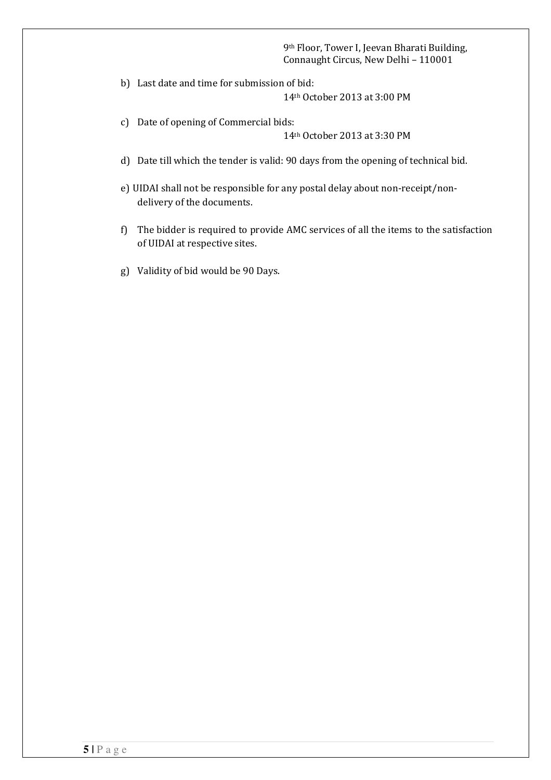#### 9th Floor, Tower I, Jeevan Bharati Building, Connaught Circus, New Delhi – 110001

b) Last date and time for submission of bid:

14th October 2013 at 3:00 PM

c) Date of opening of Commercial bids:

14th October 2013 at 3:30 PM

- d) Date till which the tender is valid: 90 days from the opening of technical bid.
- e) UIDAI shall not be responsible for any postal delay about non-receipt/nondelivery of the documents.
- f) The bidder is required to provide AMC services of all the items to the satisfaction of UIDAI at respective sites.
- g) Validity of bid would be 90 Days.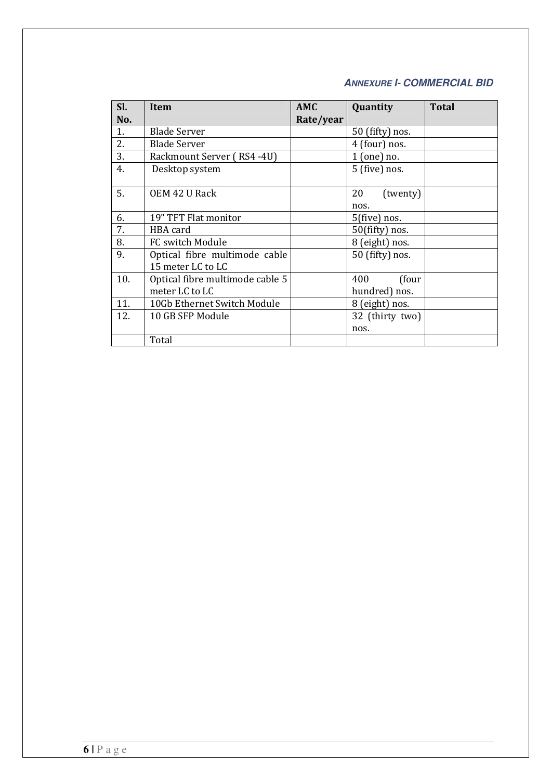# **ANNEXURE I- COMMERCIAL BID**

| SI.<br>No. | <b>Item</b>                                        | AMC<br>Rate/year | Quantity                      | <b>Total</b> |
|------------|----------------------------------------------------|------------------|-------------------------------|--------------|
| 1.         | <b>Blade Server</b>                                |                  | 50 (fifty) nos.               |              |
| 2.         | <b>Blade Server</b>                                |                  | 4 (four) nos.                 |              |
| 3.         | Rackmount Server (RS4-4U)                          |                  | $1$ (one) no.                 |              |
| 4.         | Desktop system                                     |                  | 5 (five) nos.                 |              |
| 5.         | OEM 42 U Rack                                      |                  | 20<br>(twenty)<br>nos.        |              |
| 6.         | 19" TFT Flat monitor                               |                  | 5(five) nos.                  |              |
| 7.         | HBA card                                           |                  | $50$ (fifty) nos.             |              |
| 8.         | FC switch Module                                   |                  | 8 (eight) nos.                |              |
| 9.         | Optical fibre multimode cable<br>15 meter LC to LC |                  | 50 (fifty) nos.               |              |
| 10.        | Optical fibre multimode cable 5<br>meter LC to LC  |                  | 400<br>(four<br>hundred) nos. |              |
| 11.        | 10Gb Ethernet Switch Module                        |                  | 8 (eight) nos.                |              |
| 12.        | 10 GB SFP Module                                   |                  | 32 (thirty two)<br>nos.       |              |
|            | Total                                              |                  |                               |              |